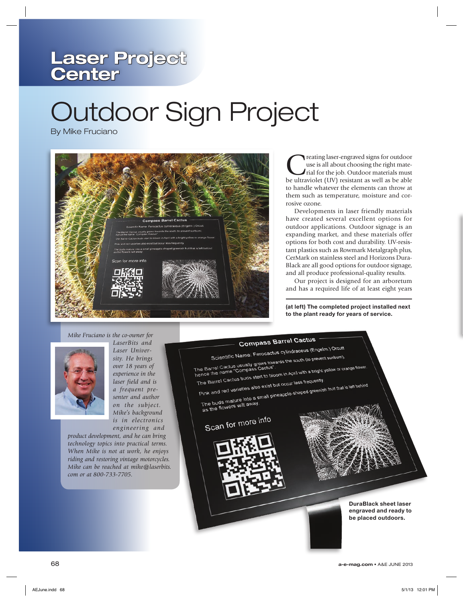## **Laser Project Center**

# Outdoor Sign Project

By Mike Fruciano



Treating laser-engraved signs for outdoor<br>tight mate-<br>trial for the job. Outdoor materials must<br>be ultraviolet (IIV) resistant as well as be able use is all about choosing the right matebe ultraviolet (UV) resistant as well as be able to handle whatever the elements can throw at them such as temperature, moisture and corrosive ozone.

Developments in laser friendly materials have created several excellent options for outdoor applications. Outdoor signage is an expanding market, and these materials offer options for both cost and durability. UV-resistant plastics such as Rowmark Metalgraph plus, CerMark on stainless steel and Horizons Dura-Black are all good options for outdoor signage, and all produce professional-quality results.

Our project is designed for an arboretum and has a required life of at least eight years

**(at left) The completed project installed next to the plant ready for years of service.**

#### *Mike Fruciano is the co-owner for*



*LaserBits and Laser University. He brings over 18 years of experience in the laser field and is a frequent presenter and author on the subject. Mike's background is in electronics engineering and* 

*product development, and he can bring technology topics into practical terms. When Mike is not at work, he enjoys riding and restoring vintage motorcycles. Mike can be reached at mike@laserbits. com or at 800-733-7705.*



The Barrel Cactus buds start to bloom in the Barrel Cactus buds start to bloom in the Barrel Cactus buds are the Pink and red varieties also exist but occur less frequently. he Barrel Cactus buds one<br>Pink and red varieties also exist but occur less frequently.<br>The buds mature into a small pineapple-shaped greenish fruit that is left behind.<br>The buds mature into a small pineapple-shaped greenis

The buds mature into a 5<br>as the flowers wilt away.

# Scan for more info